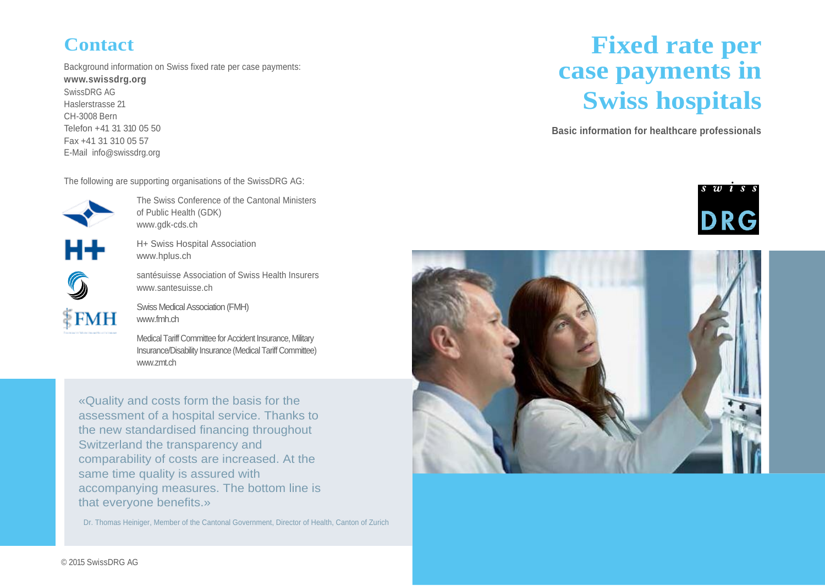### **Contact**

Background information on Swiss fixed rate per case payments:

**[www.swissdrg.org](http://www.swissdrg.org/)** SwissDRG AG Haslerstrasse 21 CH-3008 Bern Telefon +41 31 310 05 50 Fax +41 31 310 05 57 E-Mail info[@swissdrg.org](mailto:mail@swissdrg.org)

The following are supporting organisations of the SwissDRG AG:



The Swiss Conference of the Cantonal Ministers of Public Health (GDK) www.gdk-cds.ch



H+ Swiss Hospital Association www.hplus.ch

 $\frac{1}{3}$ FMH

santésuisse Association of Swiss Health Insurers www.santesuisse.ch

Swiss Medical Association (FMH) www.fmh.ch

Medical Tariff Committee for Accident Insurance, Military Insurance/Disability Insurance (Medical Tariff Committee) www.zmt.ch

«Quality and costs form the basis for the assessment of a hospital service. Thanks to the new standardised financing throughout Switzerland the transparency and comparability of costs are increased. At the same time quality is assured with accompanying measures. The bottom line is that everyone benefits.»

Dr. Thomas Heiniger, Member of the Cantonal Government, Director of Health, Canton of Zurich

# **Fixed rate per case payments in Swiss hospitals**

**Basic information for healthcare professionals**



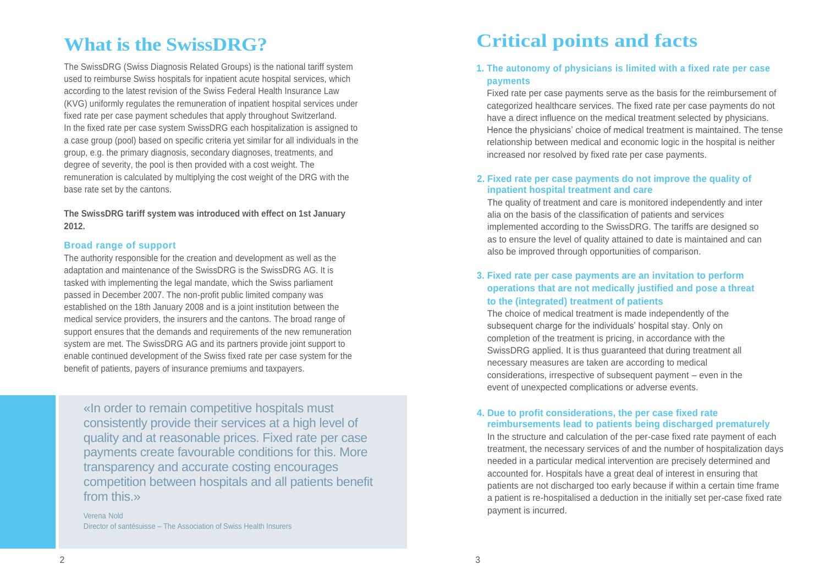# **What is the SwissDRG?**

The SwissDRG (Swiss Diagnosis Related Groups) is the national tariff system used to reimburse Swiss hospitals for inpatient acute hospital services, which according to the latest revision of the Swiss Federal Health Insurance Law (KVG) uniformly regulates the remuneration of inpatient hospital services under fixed rate per case payment schedules that apply throughout Switzerland. In the fixed rate per case system SwissDRG each hospitalization is assigned to a case group (pool) based on specific criteria yet similar for all individuals in the group, e.g. the primary diagnosis, secondary diagnoses, treatments, and degree of severity, the pool is then provided with a cost weight. The remuneration is calculated by multiplying the cost weight of the DRG with the base rate set by the cantons.

**The SwissDRG tariff system was introduced with effect on 1st January 2012.**

#### **Broad range of support**

The authority responsible for the creation and development as well as the adaptation and maintenance of the SwissDRG is the SwissDRG AG. It is tasked with implementing the legal mandate, which the Swiss parliament passed in December 2007. The non-profit public limited company was established on the 18th January 2008 and is a joint institution between the medical service providers, the insurers and the cantons. The broad range of support ensures that the demands and requirements of the new remuneration system are met. The SwissDRG AG and its partners provide joint support to enable continued development of the Swiss fixed rate per case system for the benefit of patients, payers of insurance premiums and taxpayers.

«In order to remain competitive hospitals must consistently provide their services at a high level of quality and at reasonable prices. Fixed rate per case payments create favourable conditions for this. More transparency and accurate costing encourages competition between hospitals and all patients benefit from this.»

Verena Nold Director of santésuisse – The Association of Swiss Health Insurers

## **Critical points and facts**

#### **1. The autonomy of physicians is limited with a fixed rate per case payments**

Fixed rate per case payments serve as the basis for the reimbursement of categorized healthcare services. The fixed rate per case payments do not have a direct influence on the medical treatment selected by physicians. Hence the physicians' choice of medical treatment is maintained. The tense relationship between medical and economic logic in the hospital is neither increased nor resolved by fixed rate per case payments.

#### **2. Fixed rate per case payments do not improve the quality of inpatient hospital treatment and care**

The quality of treatment and care is monitored independently and inter alia on the basis of the classification of patients and services implemented according to the SwissDRG. The tariffs are designed so as to ensure the level of quality attained to date is maintained and can also be improved through opportunities of comparison.

#### **3. Fixed rate per case payments are an invitation to perform operations that are not medically justified and pose a threat to the (integrated) treatment of patients**

The choice of medical treatment is made independently of the subsequent charge for the individuals' hospital stay. Only on completion of the treatment is pricing, in accordance with the SwissDRG applied. It is thus guaranteed that during treatment all necessary measures are taken are according to medical considerations, irrespective of subsequent payment – even in the event of unexpected complications or adverse events.

#### **4. Due to profit considerations, the per case fixed rate reimbursements lead to patients being discharged prematurely**

In the structure and calculation of the per-case fixed rate payment of each treatment, the necessary services of and the number of hospitalization days needed in a particular medical intervention are precisely determined and accounted for. Hospitals have a great deal of interest in ensuring that patients are not discharged too early because if within a certain time frame a patient is re-hospitalised a deduction in the initially set per-case fixed rate payment is incurred.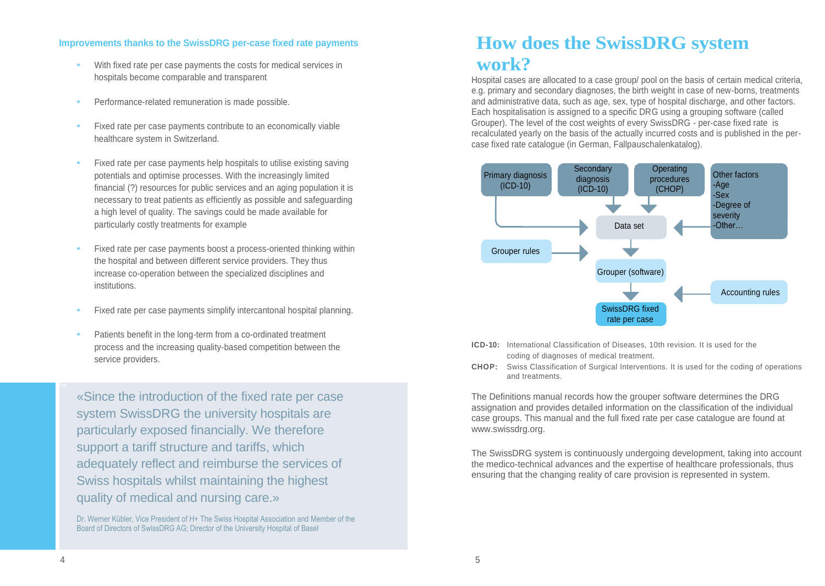#### **Improvements thanks to the SwissDRG per-case fixed rate payments**

- **•** With fixed rate per case payments the costs for medical services in hospitals become comparable and transparent
- **•** Performance-related remuneration is made possible.
- **•** Fixed rate per case payments contribute to an economically viable healthcare system in Switzerland.
- **•** Fixed rate per case payments help hospitals to utilise existing saving potentials and optimise processes. With the increasingly limited financial (?) resources for public services and an aging population it is necessary to treat patients as efficiently as possible and safeguarding a high level of quality. The savings could be made available for particularly costly treatments for example
- **•** Fixed rate per case payments boost a process-oriented thinking within the hospital and between different service providers. They thus increase co-operation between the specialized disciplines and institutions.
- **•** Fixed rate per case payments simplify intercantonal hospital planning.
- **•** Patients benefit in the long-term from a co-ordinated treatment process and the increasing quality-based competition between the service providers.

«Since the introduction of the fixed rate per case system SwissDRG the university hospitals are particularly exposed financially. We therefore support a tariff structure and tariffs, which adequately reflect and reimburse the services of Swiss hospitals whilst maintaining the highest quality of medical and nursing care.»

Dr. Werner Kübler, Vice President of H+ The Swiss Hospital Association and Member of the Board of Directors of SwissDRG AG; Director of the University Hospital of Basel

### **How does the SwissDRG system work?**

Hospital cases are allocated to a case group/ pool on the basis of certain medical criteria, e.g. primary and secondary diagnoses, the birth weight in case of new-borns, treatments and administrative data, such as age, sex, type of hospital discharge, and other factors. Each hospitalisation is assigned to a specific DRG using a grouping software (called Grouper). The level of the cost weights of every SwissDRG - per-case fixed rate is recalculated yearly on the basis of the actually incurred costs and is published in the percase fixed rate catalogue (in German, Fallpauschalenkatalog).



- **ICD-10:** International Classification of Diseases, 10th revision. It is used for the coding of diagnoses of medical treatment.
- **CHOP:** Swiss Classification of Surgical Interventions. It is used for the coding of operations and treatments.

The Definitions manual records how the grouper software determines the DRG assignation and provides detailed information on the classification of the individual case groups. This manual and the full fixed rate per case catalogue are found at www.swissdrg.org.

The SwissDRG system is continuously undergoing development, taking into account the medico-technical advances and the expertise of healthcare professionals, thus ensuring that the changing reality of care provision is represented in system.